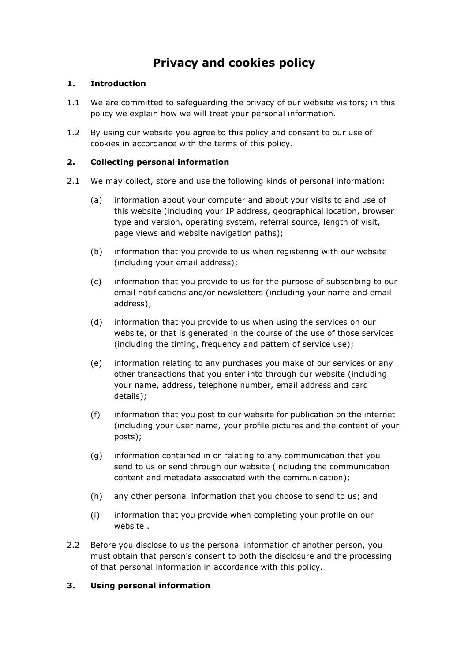# **Privacy and cookies policy**

# **1. Introduction**

- 1.1 We are committed to safeguarding the privacy of our website visitors; in this policy we explain how we will treat your personal information.
- 1.2 By using our website you agree to this policy and consent to our use of cookies in accordance with the terms of this policy.

# **2. Collecting personal information**

- 2.1 We may collect, store and use the following kinds of personal information:
	- (a) information about your computer and about your visits to and use of this website (including your IP address, geographical location, browser type and version, operating system, referral source, length of visit, page views and website navigation paths);
	- (b) information that you provide to us when registering with our website (including your email address);
	- (c) information that you provide to us for the purpose of subscribing to our email notifications and/or newsletters (including your name and email address);
	- (d) information that you provide to us when using the services on our website, or that is generated in the course of the use of those services (including the timing, frequency and pattern of service use);
	- (e) information relating to any purchases you make of our services or any other transactions that you enter into through our website (including your name, address, telephone number, email address and card details);
	- (f) information that you post to our website for publication on the internet (including your user name, your profile pictures and the content of your posts);
	- (g) information contained in or relating to any communication that you send to us or send through our website (including the communication content and metadata associated with the communication);
	- (h) any other personal information that you choose to send to us; and
	- (i) information that you provide when completing your profile on our website .
- 2.2 Before you disclose to us the personal information of another person, you must obtain that person's consent to both the disclosure and the processing of that personal information in accordance with this policy.

## **3. Using personal information**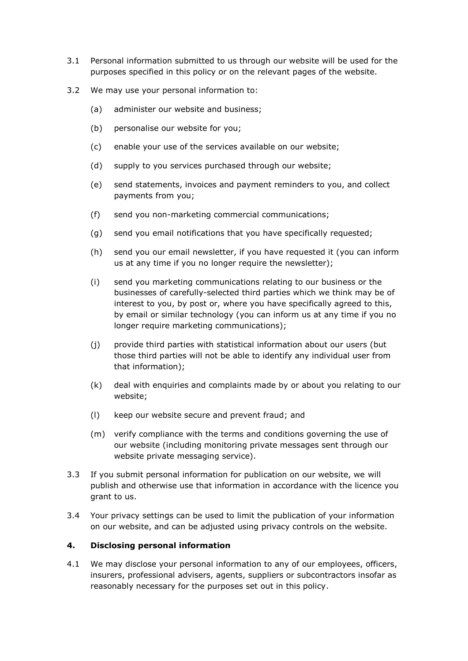- 3.1 Personal information submitted to us through our website will be used for the purposes specified in this policy or on the relevant pages of the website.
- 3.2 We may use your personal information to:
	- (a) administer our website and business;
	- (b) personalise our website for you;
	- (c) enable your use of the services available on our website;
	- (d) supply to you services purchased through our website;
	- (e) send statements, invoices and payment reminders to you, and collect payments from you;
	- (f) send you non-marketing commercial communications;
	- (g) send you email notifications that you have specifically requested;
	- (h) send you our email newsletter, if you have requested it (you can inform us at any time if you no longer require the newsletter);
	- (i) send you marketing communications relating to our business or the businesses of carefully-selected third parties which we think may be of interest to you, by post or, where you have specifically agreed to this, by email or similar technology (you can inform us at any time if you no longer require marketing communications);
	- (j) provide third parties with statistical information about our users (but those third parties will not be able to identify any individual user from that information);
	- (k) deal with enquiries and complaints made by or about you relating to our website;
	- (l) keep our website secure and prevent fraud; and
	- (m) verify compliance with the terms and conditions governing the use of our website (including monitoring private messages sent through our website private messaging service).
- 3.3 If you submit personal information for publication on our website, we will publish and otherwise use that information in accordance with the licence you grant to us.
- 3.4 Your privacy settings can be used to limit the publication of your information on our website, and can be adjusted using privacy controls on the website.

#### **4. Disclosing personal information**

4.1 We may disclose your personal information to any of our employees, officers, insurers, professional advisers, agents, suppliers or subcontractors insofar as reasonably necessary for the purposes set out in this policy.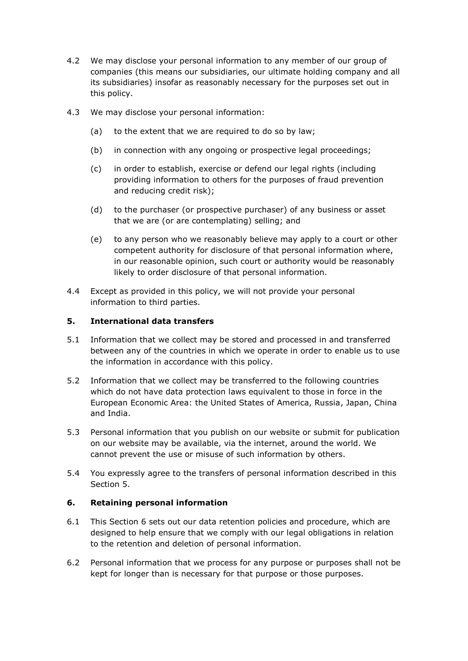- 4.2 We may disclose your personal information to any member of our group of companies (this means our subsidiaries, our ultimate holding company and all its subsidiaries) insofar as reasonably necessary for the purposes set out in this policy.
- 4.3 We may disclose your personal information:
	- (a) to the extent that we are required to do so by law;
	- (b) in connection with any ongoing or prospective legal proceedings;
	- (c) in order to establish, exercise or defend our legal rights (including providing information to others for the purposes of fraud prevention and reducing credit risk);
	- (d) to the purchaser (or prospective purchaser) of any business or asset that we are (or are contemplating) selling; and
	- (e) to any person who we reasonably believe may apply to a court or other competent authority for disclosure of that personal information where, in our reasonable opinion, such court or authority would be reasonably likely to order disclosure of that personal information.
- 4.4 Except as provided in this policy, we will not provide your personal information to third parties.

## **5. International data transfers**

- 5.1 Information that we collect may be stored and processed in and transferred between any of the countries in which we operate in order to enable us to use the information in accordance with this policy.
- 5.2 Information that we collect may be transferred to the following countries which do not have data protection laws equivalent to those in force in the European Economic Area: the United States of America, Russia, Japan, China and India.
- 5.3 Personal information that you publish on our website or submit for publication on our website may be available, via the internet, around the world. We cannot prevent the use or misuse of such information by others.
- 5.4 You expressly agree to the transfers of personal information described in this Section 5.

## **6. Retaining personal information**

- 6.1 This Section 6 sets out our data retention policies and procedure, which are designed to help ensure that we comply with our legal obligations in relation to the retention and deletion of personal information.
- 6.2 Personal information that we process for any purpose or purposes shall not be kept for longer than is necessary for that purpose or those purposes.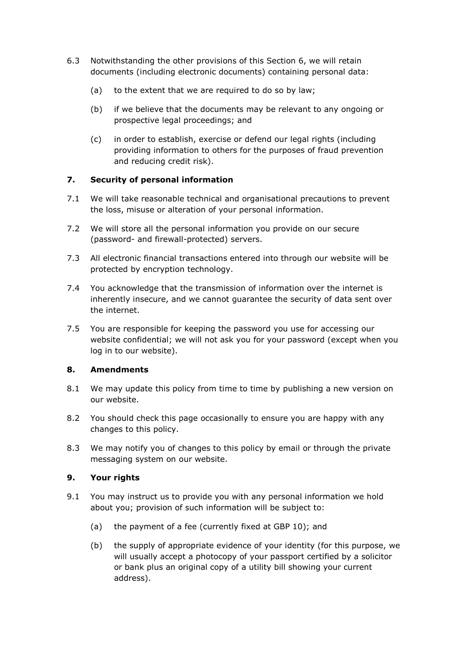- 6.3 Notwithstanding the other provisions of this Section 6, we will retain documents (including electronic documents) containing personal data:
	- (a) to the extent that we are required to do so by law;
	- (b) if we believe that the documents may be relevant to any ongoing or prospective legal proceedings; and
	- (c) in order to establish, exercise or defend our legal rights (including providing information to others for the purposes of fraud prevention and reducing credit risk).

# **7. Security of personal information**

- 7.1 We will take reasonable technical and organisational precautions to prevent the loss, misuse or alteration of your personal information.
- 7.2 We will store all the personal information you provide on our secure (password- and firewall-protected) servers.
- 7.3 All electronic financial transactions entered into through our website will be protected by encryption technology.
- 7.4 You acknowledge that the transmission of information over the internet is inherently insecure, and we cannot guarantee the security of data sent over the internet.
- 7.5 You are responsible for keeping the password you use for accessing our website confidential; we will not ask you for your password (except when you log in to our website).

## **8. Amendments**

- 8.1 We may update this policy from time to time by publishing a new version on our website.
- 8.2 You should check this page occasionally to ensure you are happy with any changes to this policy.
- 8.3 We may notify you of changes to this policy by email or through the private messaging system on our website.

## **9. Your rights**

- 9.1 You may instruct us to provide you with any personal information we hold about you; provision of such information will be subject to:
	- (a) the payment of a fee (currently fixed at GBP 10); and
	- (b) the supply of appropriate evidence of your identity (for this purpose, we will usually accept a photocopy of your passport certified by a solicitor or bank plus an original copy of a utility bill showing your current address).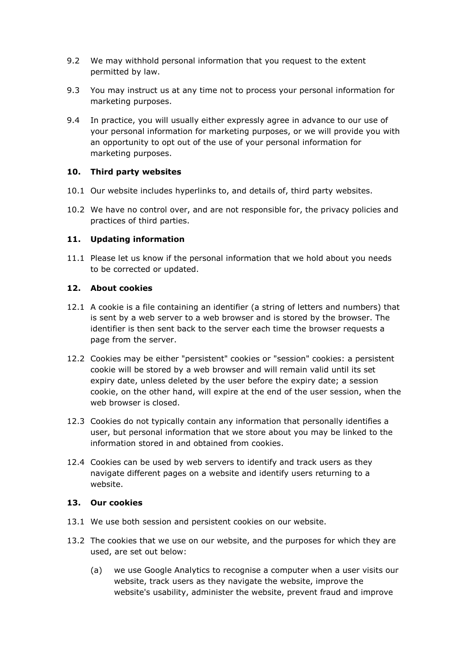- 9.2 We may withhold personal information that you request to the extent permitted by law.
- 9.3 You may instruct us at any time not to process your personal information for marketing purposes.
- 9.4 In practice, you will usually either expressly agree in advance to our use of your personal information for marketing purposes, or we will provide you with an opportunity to opt out of the use of your personal information for marketing purposes.

#### **10. Third party websites**

- 10.1 Our website includes hyperlinks to, and details of, third party websites.
- 10.2 We have no control over, and are not responsible for, the privacy policies and practices of third parties.

## **11. Updating information**

11.1 Please let us know if the personal information that we hold about you needs to be corrected or updated.

## **12. About cookies**

- 12.1 A cookie is a file containing an identifier (a string of letters and numbers) that is sent by a web server to a web browser and is stored by the browser. The identifier is then sent back to the server each time the browser requests a page from the server.
- 12.2 Cookies may be either "persistent" cookies or "session" cookies: a persistent cookie will be stored by a web browser and will remain valid until its set expiry date, unless deleted by the user before the expiry date; a session cookie, on the other hand, will expire at the end of the user session, when the web browser is closed.
- 12.3 Cookies do not typically contain any information that personally identifies a user, but personal information that we store about you may be linked to the information stored in and obtained from cookies.
- 12.4 Cookies can be used by web servers to identify and track users as they navigate different pages on a website and identify users returning to a website.

#### **13. Our cookies**

- 13.1 We use both session and persistent cookies on our website.
- 13.2 The cookies that we use on our website, and the purposes for which they are used, are set out below:
	- (a) we use Google Analytics to recognise a computer when a user visits our website, track users as they navigate the website, improve the website's usability, administer the website, prevent fraud and improve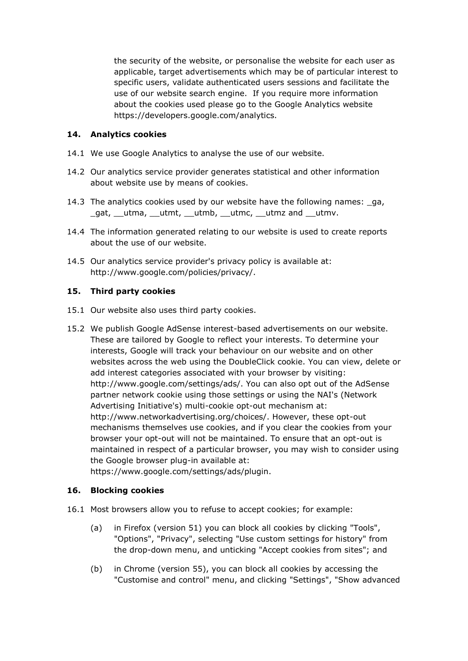the security of the website, or personalise the website for each user as applicable, target advertisements which may be of particular interest to specific users, validate authenticated users sessions and facilitate the use of our website search engine. If you require more information about the cookies used please go to the Google Analytics website https://developers.google.com/analytics.

## **14. Analytics cookies**

- 14.1 We use Google Analytics to analyse the use of our website.
- 14.2 Our analytics service provider generates statistical and other information about website use by means of cookies.
- 14.3 The analytics cookies used by our website have the following names: \_ga, gat, utma, utmt, utmb, utmc, utmz and utmv.
- 14.4 The information generated relating to our website is used to create reports about the use of our website.
- 14.5 Our analytics service provider's privacy policy is available at: http://www.google.com/policies/privacy/.

#### **15. Third party cookies**

- 15.1 Our website also uses third party cookies.
- 15.2 We publish Google AdSense interest-based advertisements on our website. These are tailored by Google to reflect your interests. To determine your interests, Google will track your behaviour on our website and on other websites across the web using the DoubleClick cookie. You can view, delete or add interest categories associated with your browser by visiting: http://www.google.com/settings/ads/. You can also opt out of the AdSense partner network cookie using those settings or using the NAI's (Network Advertising Initiative's) multi-cookie opt-out mechanism at: http://www.networkadvertising.org/choices/. However, these opt-out mechanisms themselves use cookies, and if you clear the cookies from your browser your opt-out will not be maintained. To ensure that an opt-out is maintained in respect of a particular browser, you may wish to consider using the Google browser plug-in available at: https://www.google.com/settings/ads/plugin.

## **16. Blocking cookies**

- 16.1 Most browsers allow you to refuse to accept cookies; for example:
	- (a) in Firefox (version 51) you can block all cookies by clicking "Tools", "Options", "Privacy", selecting "Use custom settings for history" from the drop-down menu, and unticking "Accept cookies from sites"; and
	- (b) in Chrome (version 55), you can block all cookies by accessing the "Customise and control" menu, and clicking "Settings", "Show advanced